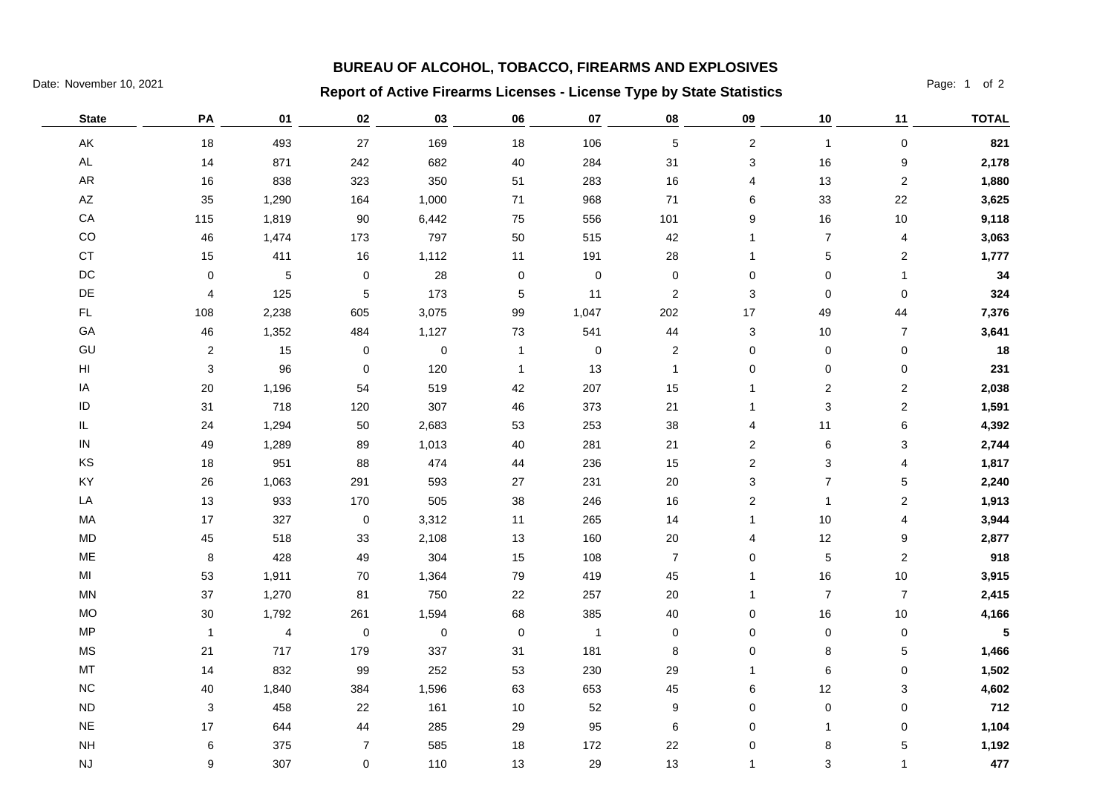## **BUREAU OF ALCOHOL, TOBACCO, FIREARMS AND EXPLOSIVES**

## Date: November 10, 2021 **Page: 1 of 2 Report of Active Firearms Licenses - License Type by State Statistics** Page: 1 of 2

| <b>State</b>           | PA             | 01             | 02             | 03        | 06           | 07             | 08                      | 09                        | 10             | 11                      | <b>TOTAL</b> |
|------------------------|----------------|----------------|----------------|-----------|--------------|----------------|-------------------------|---------------------------|----------------|-------------------------|--------------|
| AK                     | 18             | 493            | 27             | 169       | 18           | 106            | $\sqrt{5}$              | $\sqrt{2}$                | $\overline{1}$ | $\mathsf 0$             | 821          |
| $\mathsf{AL}$          | 14             | 871            | 242            | 682       | 40           | 284            | 31                      | $\ensuremath{\mathsf{3}}$ | 16             | 9                       | 2,178        |
| ${\sf AR}$             | $16$           | 838            | 323            | 350       | $51\,$       | 283            | 16                      | 4                         | 13             | $\mathbf 2$             | 1,880        |
| $\mathsf{A}\mathsf{Z}$ | 35             | 1,290          | 164            | 1,000     | 71           | 968            | 71                      | 6                         | 33             | $22\,$                  | 3,625        |
| ${\sf CA}$             | 115            | 1,819          | 90             | 6,442     | 75           | 556            | 101                     | 9                         | 16             | $10$                    | 9,118        |
| CO                     | 46             | 1,474          | 173            | 797       | 50           | 515            | 42                      | $\overline{1}$            | $\overline{7}$ | $\overline{\mathbf{4}}$ | 3,063        |
| $\mathsf{CT}$          | 15             | 411            | 16             | 1,112     | 11           | 191            | 28                      | $\mathbf 1$               | 5              | $\overline{c}$          | 1,777        |
| $\mathsf{DC}$          | $\pmb{0}$      | 5              | $\pmb{0}$      | 28        | $\pmb{0}$    | $\pmb{0}$      | $\pmb{0}$               | $\pmb{0}$                 | $\pmb{0}$      | $\mathbf{1}$            | 34           |
| $\mathsf{DE}% _{T}$    | 4              | 125            | $\mathbf 5$    | 173       | $\sqrt{5}$   | 11             | $\sqrt{2}$              | 3                         | $\pmb{0}$      | $\pmb{0}$               | 324          |
| FL                     | 108            | 2,238          | 605            | 3,075     | 99           | 1,047          | 202                     | 17                        | 49             | 44                      | 7,376        |
| GA                     | 46             | 1,352          | 484            | 1,127     | 73           | 541            | 44                      | 3                         | $10$           | $\boldsymbol{7}$        | 3,641        |
| GU                     | $\overline{c}$ | 15             | $\pmb{0}$      | $\pmb{0}$ | 1            | $\pmb{0}$      | $\overline{\mathbf{c}}$ | $\pmb{0}$                 | $\pmb{0}$      | 0                       | 18           |
| HI                     | $\sqrt{3}$     | 96             | 0              | 120       | $\mathbf{1}$ | 13             | $\mathbf{1}$            | 0                         | 0              | 0                       | 231          |
| IA                     | $20\,$         | 1,196          | 54             | 519       | 42           | 207            | 15                      | 1                         | 2              | 2                       | 2,038        |
| ID                     | 31             | 718            | 120            | 307       | 46           | 373            | 21                      | -1                        | 3              | $\overline{2}$          | 1,591        |
| IL                     | 24             | 1,294          | 50             | 2,683     | 53           | 253            | 38                      | 4                         | 11             | 6                       | 4,392        |
| ${\sf IN}$             | 49             | 1,289          | 89             | 1,013     | 40           | 281            | 21                      | $\sqrt{2}$                | 6              | 3                       | 2,744        |
| KS                     | 18             | 951            | 88             | 474       | 44           | 236            | 15                      | $\sqrt{2}$                | 3              | 4                       | 1,817        |
| KY                     | 26             | 1,063          | 291            | 593       | 27           | 231            | $20\,$                  | $\ensuremath{\mathsf{3}}$ | $\overline{7}$ | 5                       | 2,240        |
| LA                     | 13             | 933            | 170            | 505       | 38           | 246            | $16$                    | $\sqrt{2}$                | $\mathbf{1}$   | $\overline{\mathbf{c}}$ | 1,913        |
| MA                     | $17$           | 327            | $\pmb{0}$      | 3,312     | 11           | 265            | 14                      | $\mathbf{1}$              | $10$           | 4                       | 3,944        |
| MD                     | 45             | 518            | 33             | 2,108     | 13           | 160            | $20\,$                  | 4                         | 12             | 9                       | 2,877        |
| ME                     | $\bf 8$        | 428            | 49             | 304       | 15           | 108            | $\overline{7}$          | $\mathbf 0$               | $\mathbf 5$    | $\mathbf 2$             | 918          |
| MI                     | 53             | 1,911          | 70             | 1,364     | 79           | 419            | 45                      | -1                        | 16             | $10\,$                  | 3,915        |
| $\mathsf{MN}$          | 37             | 1,270          | 81             | 750       | 22           | 257            | $20\,$                  | $\overline{1}$            | $\overline{7}$ | $\boldsymbol{7}$        | 2,415        |
| $MO$                   | $30\,$         | 1,792          | 261            | 1,594     | 68           | 385            | 40                      | $\pmb{0}$                 | 16             | $10$                    | 4,166        |
| MP                     | $\mathbf 1$    | $\overline{4}$ | $\pmb{0}$      | $\pmb{0}$ | $\mathsf 0$  | $\overline{1}$ | $\pmb{0}$               | $\mathbf 0$               | $\pmb{0}$      | $\pmb{0}$               | 5            |
| $\mathsf{MS}\xspace$   | $21$           | 717            | 179            | 337       | 31           | 181            | 8                       | $\mathbf 0$               | 8              | $\mathbf 5$             | 1,466        |
| MT                     | 14             | 832            | 99             | 252       | 53           | 230            | 29                      | $\mathbf 1$               | 6              | $\pmb{0}$               | 1,502        |
| $NC$                   | 40             | 1,840          | 384            | 1,596     | 63           | 653            | 45                      | 6                         | 12             | 3                       | 4,602        |
| <b>ND</b>              | 3              | 458            | 22             | 161       | $10$         | 52             | 9                       | 0                         | $\pmb{0}$      | 0                       | 712          |
| $N\mathsf{E}$          | 17             | 644            | 44             | 285       | 29           | 95             | 6                       | $\mathbf 0$               | $\mathbf{1}$   | 0                       | 1,104        |
| $\mathsf{NH}\,$        | 6              | 375            | $\overline{7}$ | 585       | 18           | 172            | 22                      | 0                         | 8              | 5                       | 1,192        |
| NJ                     | 9              | 307            | 0              | 110       | 13           | 29             | 13                      | $\mathbf 1$               | 3              | $\mathbf{1}$            | 477          |